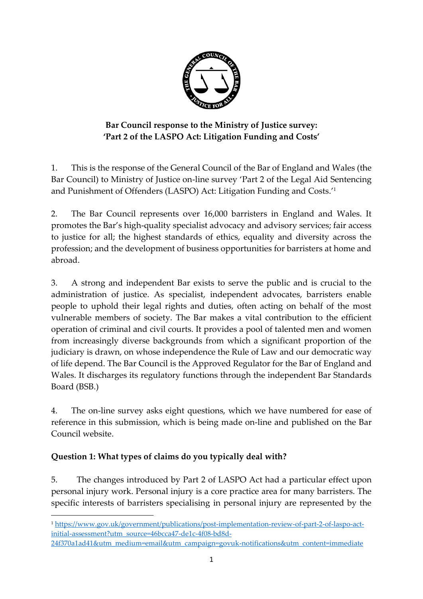

# **Bar Council response to the Ministry of Justice survey: 'Part 2 of the LASPO Act: Litigation Funding and Costs'**

1. This is the response of the General Council of the Bar of England and Wales (the Bar Council) to Ministry of Justice on-line survey 'Part 2 of the Legal Aid Sentencing and Punishment of Offenders (LASPO) Act: Litigation Funding and Costs.' 1

2. The Bar Council represents over 16,000 barristers in England and Wales. It promotes the Bar's high-quality specialist advocacy and advisory services; fair access to justice for all; the highest standards of ethics, equality and diversity across the profession; and the development of business opportunities for barristers at home and abroad.

3. A strong and independent Bar exists to serve the public and is crucial to the administration of justice. As specialist, independent advocates, barristers enable people to uphold their legal rights and duties, often acting on behalf of the most vulnerable members of society. The Bar makes a vital contribution to the efficient operation of criminal and civil courts. It provides a pool of talented men and women from increasingly diverse backgrounds from which a significant proportion of the judiciary is drawn, on whose independence the Rule of Law and our democratic way of life depend. The Bar Council is the Approved Regulator for the Bar of England and Wales. It discharges its regulatory functions through the independent Bar Standards Board (BSB.)

4. The on-line survey asks eight questions, which we have numbered for ease of reference in this submission, which is being made on-line and published on the Bar Council website.

# **Question 1: What types of claims do you typically deal with?**

**.** 

5. The changes introduced by Part 2 of LASPO Act had a particular effect upon personal injury work. Personal injury is a core practice area for many barristers. The specific interests of barristers specialising in personal injury are represented by the

<sup>1</sup> [https://www.gov.uk/government/publications/post-implementation-review-of-part-2-of-laspo-act](https://www.gov.uk/government/publications/post-implementation-review-of-part-2-of-laspo-act-initial-assessment?utm_source=46bcca47-de1c-4f08-bd8d-24f370a1ad41&utm_medium=email&utm_campaign=govuk-notifications&utm_content=immediate)[initial-assessment?utm\\_source=46bcca47-de1c-4f08-bd8d-](https://www.gov.uk/government/publications/post-implementation-review-of-part-2-of-laspo-act-initial-assessment?utm_source=46bcca47-de1c-4f08-bd8d-24f370a1ad41&utm_medium=email&utm_campaign=govuk-notifications&utm_content=immediate)

[<sup>24</sup>f370a1ad41&utm\\_medium=email&utm\\_campaign=govuk-notifications&utm\\_content=immediate](https://www.gov.uk/government/publications/post-implementation-review-of-part-2-of-laspo-act-initial-assessment?utm_source=46bcca47-de1c-4f08-bd8d-24f370a1ad41&utm_medium=email&utm_campaign=govuk-notifications&utm_content=immediate)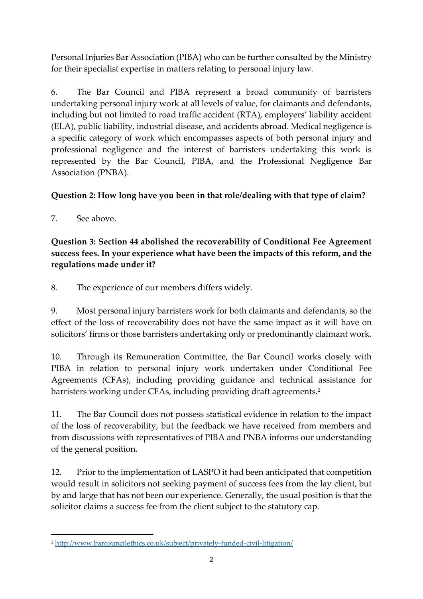Personal Injuries Bar Association (PIBA) who can be further consulted by the Ministry for their specialist expertise in matters relating to personal injury law.

6. The Bar Council and PIBA represent a broad community of barristers undertaking personal injury work at all levels of value, for claimants and defendants, including but not limited to road traffic accident (RTA), employers' liability accident (ELA), public liability, industrial disease, and accidents abroad. Medical negligence is a specific category of work which encompasses aspects of both personal injury and professional negligence and the interest of barristers undertaking this work is represented by the Bar Council, PIBA, and the Professional Negligence Bar Association (PNBA).

### **Question 2: How long have you been in that role/dealing with that type of claim?**

7. See above.

 $\overline{a}$ 

**Question 3: Section 44 abolished the recoverability of Conditional Fee Agreement success fees. In your experience what have been the impacts of this reform, and the regulations made under it?**

8. The experience of our members differs widely.

9. Most personal injury barristers work for both claimants and defendants, so the effect of the loss of recoverability does not have the same impact as it will have on solicitors' firms or those barristers undertaking only or predominantly claimant work.

10. Through its Remuneration Committee, the Bar Council works closely with PIBA in relation to personal injury work undertaken under Conditional Fee Agreements (CFAs), including providing guidance and technical assistance for barristers working under CFAs, including providing draft agreements.<sup>2</sup>

11. The Bar Council does not possess statistical evidence in relation to the impact of the loss of recoverability, but the feedback we have received from members and from discussions with representatives of PIBA and PNBA informs our understanding of the general position.

12. Prior to the implementation of LASPO it had been anticipated that competition would result in solicitors not seeking payment of success fees from the lay client, but by and large that has not been our experience. Generally, the usual position is that the solicitor claims a success fee from the client subject to the statutory cap.

<sup>2</sup> <http://www.barcouncilethics.co.uk/subject/privately-funded-civil-litigation/>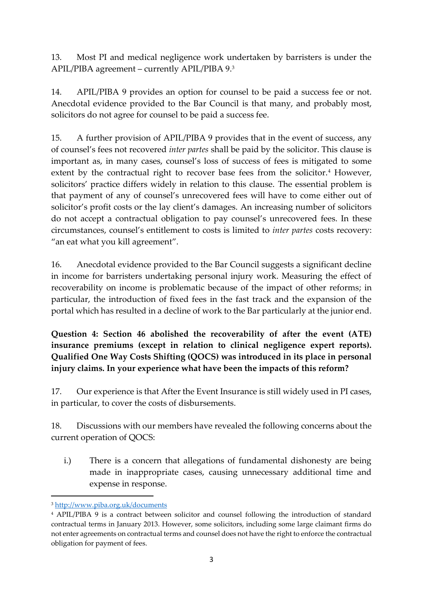13. Most PI and medical negligence work undertaken by barristers is under the APIL/PIBA agreement – currently APIL/PIBA 9.<sup>3</sup>

14. APIL/PIBA 9 provides an option for counsel to be paid a success fee or not. Anecdotal evidence provided to the Bar Council is that many, and probably most, solicitors do not agree for counsel to be paid a success fee.

15. A further provision of APIL/PIBA 9 provides that in the event of success, any of counsel's fees not recovered *inter partes* shall be paid by the solicitor. This clause is important as, in many cases, counsel's loss of success of fees is mitigated to some extent by the contractual right to recover base fees from the solicitor.<sup>4</sup> However, solicitors' practice differs widely in relation to this clause. The essential problem is that payment of any of counsel's unrecovered fees will have to come either out of solicitor's profit costs or the lay client's damages. An increasing number of solicitors do not accept a contractual obligation to pay counsel's unrecovered fees. In these circumstances, counsel's entitlement to costs is limited to *inter partes* costs recovery: "an eat what you kill agreement".

16. Anecdotal evidence provided to the Bar Council suggests a significant decline in income for barristers undertaking personal injury work. Measuring the effect of recoverability on income is problematic because of the impact of other reforms; in particular, the introduction of fixed fees in the fast track and the expansion of the portal which has resulted in a decline of work to the Bar particularly at the junior end.

**Question 4: Section 46 abolished the recoverability of after the event (ATE) insurance premiums (except in relation to clinical negligence expert reports). Qualified One Way Costs Shifting (QOCS) was introduced in its place in personal injury claims. In your experience what have been the impacts of this reform?** 

17. Our experience is that After the Event Insurance is still widely used in PI cases, in particular, to cover the costs of disbursements.

18. Discussions with our members have revealed the following concerns about the current operation of QOCS:

i.) There is a concern that allegations of fundamental dishonesty are being made in inappropriate cases, causing unnecessary additional time and expense in response.

**<sup>.</sup>** <sup>3</sup> <http://www.piba.org.uk/documents>

<sup>4</sup> APIL/PIBA 9 is a contract between solicitor and counsel following the introduction of standard contractual terms in January 2013. However, some solicitors, including some large claimant firms do not enter agreements on contractual terms and counsel does not have the right to enforce the contractual obligation for payment of fees.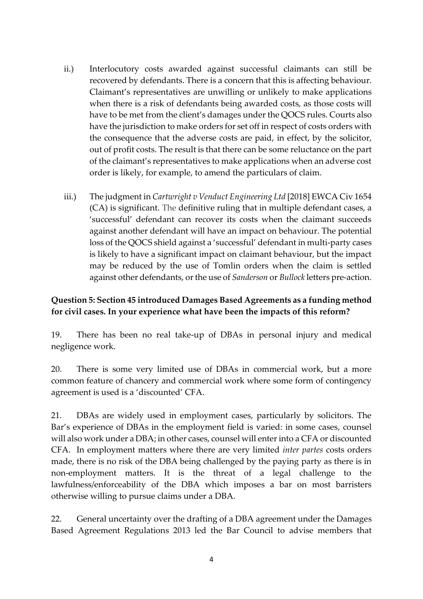- ii.) Interlocutory costs awarded against successful claimants can still be recovered by defendants. There is a concern that this is affecting behaviour. Claimant's representatives are unwilling or unlikely to make applications when there is a risk of defendants being awarded costs, as those costs will have to be met from the client's damages under the QOCS rules. Courts also have the jurisdiction to make orders for set off in respect of costs orders with the consequence that the adverse costs are paid, in effect, by the solicitor, out of profit costs. The result is that there can be some reluctance on the part of the claimant's representatives to make applications when an adverse cost order is likely, for example, to amend the particulars of claim.
- iii.) The judgment in *Cartwright v Venduct Engineering Ltd* [2018] EWCA Civ 1654 (CA) is significant. The definitive ruling that in multiple defendant cases, a 'successful' defendant can recover its costs when the claimant succeeds against another defendant will have an impact on behaviour. The potential loss of the QOCS shield against a 'successful' defendant in multi-party cases is likely to have a significant impact on claimant behaviour, but the impact may be reduced by the use of Tomlin orders when the claim is settled against other defendants, or the use of *Sanderson* or *Bullock* letters pre-action.

#### **Question 5: Section 45 introduced Damages Based Agreements as a funding method for civil cases. In your experience what have been the impacts of this reform?**

19. There has been no real take-up of DBAs in personal injury and medical negligence work.

20. There is some very limited use of DBAs in commercial work, but a more common feature of chancery and commercial work where some form of contingency agreement is used is a 'discounted' CFA.

21. DBAs are widely used in employment cases, particularly by solicitors. The Bar's experience of DBAs in the employment field is varied: in some cases, counsel will also work under a DBA; in other cases, counsel will enter into a CFA or discounted CFA. In employment matters where there are very limited *inter partes* costs orders made, there is no risk of the DBA being challenged by the paying party as there is in non-employment matters. It is the threat of a legal challenge to the lawfulness/enforceability of the DBA which imposes a bar on most barristers otherwise willing to pursue claims under a DBA.

22. General uncertainty over the drafting of a DBA agreement under the Damages Based Agreement Regulations 2013 led the Bar Council to advise members that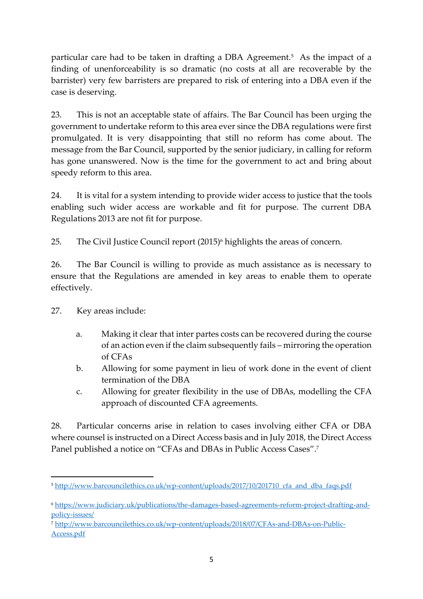particular care had to be taken in drafting a DBA Agreement.<sup>5</sup> As the impact of a finding of unenforceability is so dramatic (no costs at all are recoverable by the barrister) very few barristers are prepared to risk of entering into a DBA even if the case is deserving.

23. This is not an acceptable state of affairs. The Bar Council has been urging the government to undertake reform to this area ever since the DBA regulations were first promulgated. It is very disappointing that still no reform has come about. The message from the Bar Council, supported by the senior judiciary, in calling for reform has gone unanswered. Now is the time for the government to act and bring about speedy reform to this area.

24. It is vital for a system intending to provide wider access to justice that the tools enabling such wider access are workable and fit for purpose. The current DBA Regulations 2013 are not fit for purpose.

25. The Civil Justice Council report (2015)<sup>6</sup> highlights the areas of concern.

26. The Bar Council is willing to provide as much assistance as is necessary to ensure that the Regulations are amended in key areas to enable them to operate effectively.

27. Key areas include:

**.** 

- a. Making it clear that inter partes costs can be recovered during the course of an action even if the claim subsequently fails – mirroring the operation of CFAs
- b. Allowing for some payment in lieu of work done in the event of client termination of the DBA
- c. Allowing for greater flexibility in the use of DBAs, modelling the CFA approach of discounted CFA agreements.

28. Particular concerns arise in relation to cases involving either CFA or DBA where counsel is instructed on a Direct Access basis and in July 2018, the Direct Access Panel published a notice on "CFAs and DBAs in Public Access Cases".<sup>7</sup>

<sup>&</sup>lt;sup>5</sup> [http://www.barcouncilethics.co.uk/wp-content/uploads/2017/10/201710\\_cfa\\_and\\_dba\\_faqs.pdf](http://www.barcouncilethics.co.uk/wp-content/uploads/2017/10/201710_cfa_and_dba_faqs.pdf)

<sup>6</sup> [https://www.judiciary.uk/publications/the-damages-based-agreements-reform-project-drafting-and](https://www.judiciary.uk/publications/the-damages-based-agreements-reform-project-drafting-and-policy-issues/)[policy-issues/](https://www.judiciary.uk/publications/the-damages-based-agreements-reform-project-drafting-and-policy-issues/)

<sup>7</sup> [http://www.barcouncilethics.co.uk/wp-content/uploads/2018/07/CFAs-and-DBAs-on-Public-](http://www.barcouncilethics.co.uk/wp-content/uploads/2018/07/CFAs-and-DBAs-on-Public-Access.pdf)[Access.pdf](http://www.barcouncilethics.co.uk/wp-content/uploads/2018/07/CFAs-and-DBAs-on-Public-Access.pdf)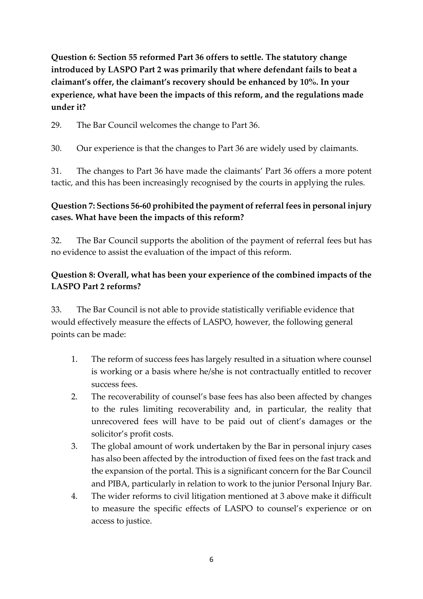**Question 6: Section 55 reformed Part 36 offers to settle. The statutory change introduced by LASPO Part 2 was primarily that where defendant fails to beat a claimant's offer, the claimant's recovery should be enhanced by 10%. In your experience, what have been the impacts of this reform, and the regulations made under it?**

29. The Bar Council welcomes the change to Part 36.

30. Our experience is that the changes to Part 36 are widely used by claimants.

31. The changes to Part 36 have made the claimants' Part 36 offers a more potent tactic, and this has been increasingly recognised by the courts in applying the rules.

## **Question 7: Sections 56-60 prohibited the payment of referral fees in personal injury cases. What have been the impacts of this reform?**

32. The Bar Council supports the abolition of the payment of referral fees but has no evidence to assist the evaluation of the impact of this reform.

### **Question 8: Overall, what has been your experience of the combined impacts of the LASPO Part 2 reforms?**

33. The Bar Council is not able to provide statistically verifiable evidence that would effectively measure the effects of LASPO, however, the following general points can be made:

- 1. The reform of success fees has largely resulted in a situation where counsel is working or a basis where he/she is not contractually entitled to recover success fees.
- 2. The recoverability of counsel's base fees has also been affected by changes to the rules limiting recoverability and, in particular, the reality that unrecovered fees will have to be paid out of client's damages or the solicitor's profit costs.
- 3. The global amount of work undertaken by the Bar in personal injury cases has also been affected by the introduction of fixed fees on the fast track and the expansion of the portal. This is a significant concern for the Bar Council and PIBA, particularly in relation to work to the junior Personal Injury Bar.
- 4. The wider reforms to civil litigation mentioned at 3 above make it difficult to measure the specific effects of LASPO to counsel's experience or on access to justice.